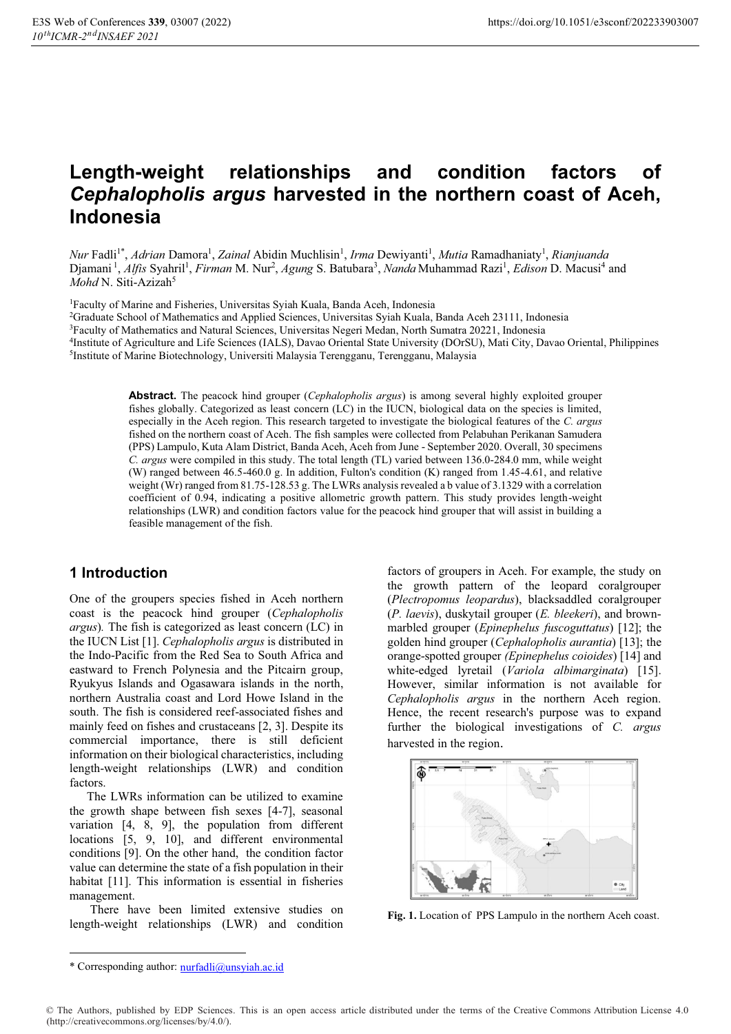# **Length-weight relationships and condition factors of**  *Cephalopholis argus* **harvested in the northern coast of Aceh, Indonesia**

*Nur* Fadli<sup>1\*</sup>, *Adrian* Damora<sup>1</sup>, *Zainal* Abidin Muchlisin<sup>1</sup>, *Irma* Dewiyanti<sup>1</sup>, *Mutia* Ramadhaniaty<sup>1</sup>, *Rianjuanda* Djamani<sup>1</sup>, *Alfis* Syahril<sup>1</sup>, *Firman* M. Nur<sup>2</sup>, *Agung* S. Batubara<sup>3</sup>, *Nanda* Muhammad Razi<sup>1</sup>, *Edison* D. Macusi<sup>4</sup> and *Mohd N. Siti-Azizah<sup>5</sup>* 

1Faculty of Marine and Fisheries, Universitas Syiah Kuala, Banda Aceh, Indonesia

2Graduate School of Mathematics and Applied Sciences, Universitas Syiah Kuala, Banda Aceh 23111, Indonesia

3Faculty of Mathematics and Natural Sciences, Universitas Negeri Medan, North Sumatra 20221, Indonesia

<sup>4</sup>Institute of Agriculture and Life Sciences (IALS), Davao Oriental State University (DOrSU), Mati City, Davao Oriental, Philippines <sup>5</sup>Institute of Marine Biotechnology, Universiti Malaysia Terengganu, Terengganu, Malays

**Abstract.** The peacock hind grouper (*Cephalopholis argus*) is among several highly exploited grouper fishes globally. Categorized as least concern (LC) in the IUCN, biological data on the species is limited, especially in the Aceh region. This research targeted to investigate the biological features of the *C. argus* fished on the northern coast of Aceh. The fish samples were collected from Pelabuhan Perikanan Samudera (PPS) Lampulo, Kuta Alam District, Banda Aceh, Aceh from June - September 2020. Overall, 30 specimens *C. argus* were compiled in this study. The total length (TL) varied between 136.0-284.0 mm, while weight (W) ranged between 46.5-460.0 g. In addition, Fulton's condition (K) ranged from 1.45-4.61, and relative weight (Wr) ranged from 81.75-128.53 g. The LWRs analysis revealed a b value of 3.1329 with a correlation coefficient of 0.94, indicating a positive allometric growth pattern. This study provides length-weight relationships (LWR) and condition factors value for the peacock hind grouper that will assist in building a feasible management of the fish.

# **1 Introduction**

One of the groupers species fished in Aceh northern coast is the peacock hind grouper (*Cephalopholis argus*)*.* The fish is categorized as least concern (LC) in the IUCN List [1]. *Cephalopholis argus* is distributed in the Indo-Pacific from the Red Sea to South Africa and eastward to French Polynesia and the Pitcairn group, Ryukyus Islands and Ogasawara islands in the north, northern Australia coast and Lord Howe Island in the south. The fish is considered reef-associated fishes and mainly feed on fishes and crustaceans [2, 3]. Despite its commercial importance, there is still deficient information on their biological characteristics, including length-weight relationships (LWR) and condition factors.

The LWRs information can be utilized to examine the growth shape between fish sexes [4-7], seasonal variation [4, 8, 9], the population from different locations [5, 9, 10], and different environmental conditions [9]. On the other hand, the condition factor value can determine the state of a fish population in their habitat [11]. This information is essential in fisheries management.

There have been limited extensive studies on length-weight relationships (LWR) and condition factors of groupers in Aceh. For example, the study on the growth pattern of the leopard coralgrouper (*Plectropomus leopardus*), blacksaddled coralgrouper (*P. laevis*), duskytail grouper (*E. bleekeri*), and brownmarbled grouper (*Epinephelus fuscoguttatus*) [12]; the golden hind grouper (*Cephalopholis aurantia*) [13]; the orange-spotted grouper *(Epinephelus coioides*) [14] and white-edged lyretail (*Variola albimarginata*) [15]. However, similar information is not available for *Cephalopholis argus* in the northern Aceh region. Hence, the recent research's purpose was to expand further the biological investigations of *C. argus*  harvested in the region.



**Fig. 1.** Location of PPS Lampulo in the northern Aceh coast.

<sup>\*</sup> Corresponding author: nurfadli@unsyiah.ac.id

<sup>©</sup> The Authors, published by EDP Sciences. This is an open access article distributed under the terms of the Creative Commons Attribution License 4.0 (http://creativecommons.org/licenses/by/4.0/).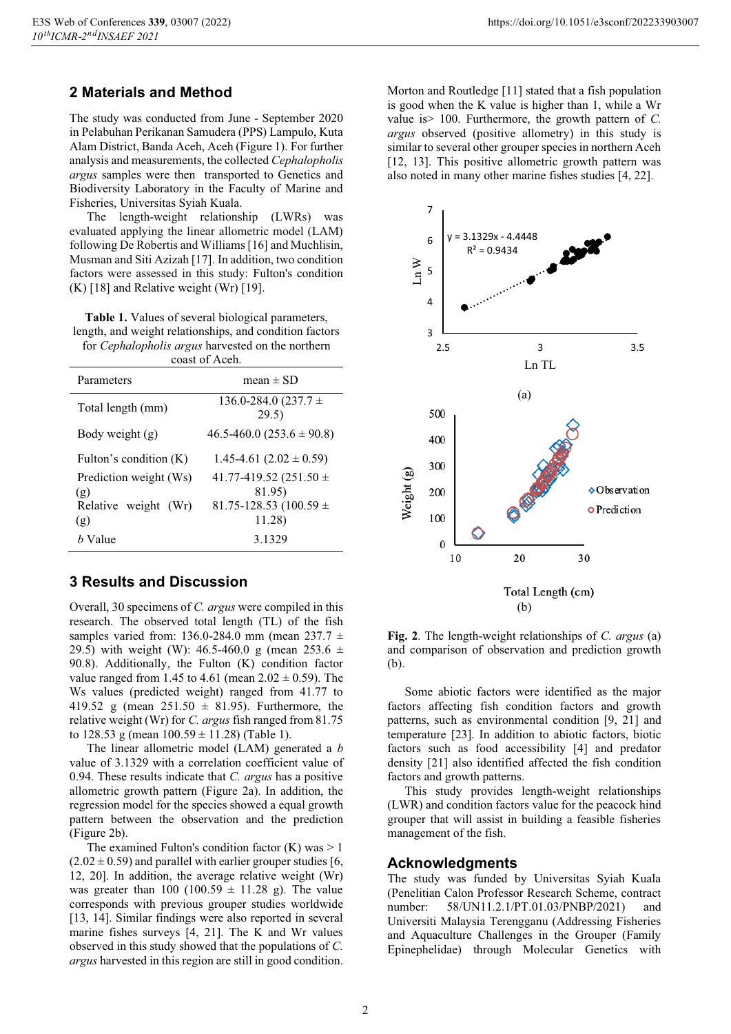# **2 Materials and Method**

The study was conducted from June - September 2020 in Pelabuhan Perikanan Samudera (PPS) Lampulo, Kuta Alam District, Banda Aceh, Aceh (Figure 1). For further analysis and measurements, the collected *Cephalopholis argus* samples were then transported to Genetics and Biodiversity Laboratory in the Faculty of Marine and Fisheries, Universitas Syiah Kuala.

The length-weight relationship (LWRs) was evaluated applying the linear allometric model (LAM) following De Robertis and Williams [16] and Muchlisin, Musman and Siti Azizah [17]. In addition, two condition factors were assessed in this study: Fulton's condition  $(K)$  [18] and Relative weight (Wr) [19].

**Table 1.** Values of several biological parameters, length, and weight relationships, and condition factors for *Cephalopholis argus* harvested on the northern coast of Aceh.

| Parameters                    | $mean \pm SD$                        |
|-------------------------------|--------------------------------------|
| Total length (mm)             | 136.0-284.0 $(237.7 \pm$<br>29.5)    |
| Body weight $(g)$             | $46.5 - 460.0$ $(253.6 \pm 90.8)$    |
| Fulton's condition (K)        | $1.45 - 4.61$ $(2.02 \pm 0.59)$      |
| Prediction weight (Ws)<br>(g) | 41.77-419.52 (251.50 $\pm$<br>81.95) |
| Relative weight (Wr)          | 81.75-128.53 (100.59 $\pm$           |
| (g)                           | 11.28)                               |
| <i>h</i> Value                | 3.1329                               |

### **3 Results and Discussion**

Overall, 30 specimens of *C. argus* were compiled in this research. The observed total length (TL) of the fish samples varied from: 136.0-284.0 mm (mean 237.7  $\pm$ 29.5) with weight (W): 46.5-460.0 g (mean 253.6  $\pm$ 90.8). Additionally, the Fulton (K) condition factor value ranged from 1.45 to 4.61 (mean  $2.02 \pm 0.59$ ). The Ws values (predicted weight) ranged from 41.77 to 419.52 g (mean  $251.50 \pm 81.95$ ). Furthermore, the relative weight (Wr) for *C. argus* fish ranged from 81.75 to  $128.53$  g (mean  $100.59 \pm 11.28$ ) (Table 1).

The linear allometric model (LAM) generated a *b* value of 3.1329 with a correlation coefficient value of 0.94. These results indicate that *C. argus* has a positive allometric growth pattern (Figure 2a). In addition, the regression model for the species showed a equal growth pattern between the observation and the prediction (Figure 2b).

The examined Fulton's condition factor  $(K)$  was  $> 1$  $(2.02 \pm 0.59)$  and parallel with earlier grouper studies [6, 12, 20]. In addition, the average relative weight (Wr) was greater than 100 (100.59  $\pm$  11.28 g). The value corresponds with previous grouper studies worldwide [13, 14]. Similar findings were also reported in several marine fishes surveys [4, 21]. The K and Wr values observed in this study showed that the populations of *C. argus* harvested in this region are still in good condition.

Morton and Routledge [11] stated that a fish population is good when the K value is higher than 1, while a Wr value is> 100. Furthermore, the growth pattern of *C. argus* observed (positive allometry) in this study is similar to several other grouper species in northern Aceh [12, 13]. This positive allometric growth pattern was also noted in many other marine fishes studies [4, 22].



**Fig. 2**. The length-weight relationships of *C. argus* (a) and comparison of observation and prediction growth (b).

Some abiotic factors were identified as the major factors affecting fish condition factors and growth patterns, such as environmental condition [9, 21] and temperature [23]. In addition to abiotic factors, biotic factors such as food accessibility [4] and predator density [21] also identified affected the fish condition factors and growth patterns.

This study provides length-weight relationships (LWR) and condition factors value for the peacock hind grouper that will assist in building a feasible fisheries management of the fish.

#### **Acknowledgments**

The study was funded by Universitas Syiah Kuala (Penelitian Calon Professor Research Scheme, contract number: 58/UN11.2.1/PT.01.03/PNBP/2021) and Universiti Malaysia Terengganu (Addressing Fisheries and Aquaculture Challenges in the Grouper (Family Epinephelidae) through Molecular Genetics with